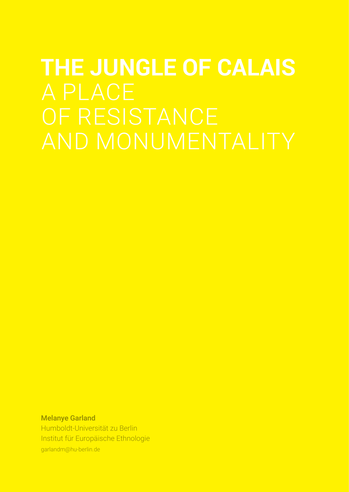# **THE JUNGLE OF CALAIS**

Melanye Garland Humboldt-Universität zu Berlin Institut für Europäische Ethnologie garlandm@hu-berlin.de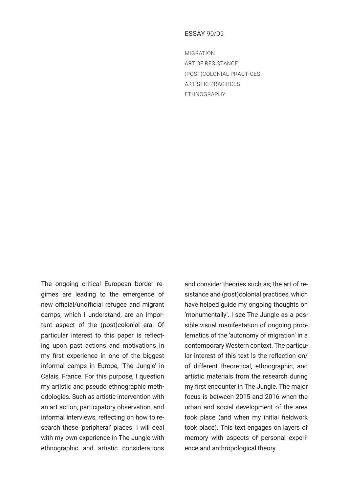# ESSAY 90/05

MIGRATION ART OF RESISTANCE (POST)COLONIAL PRACTICES ARTISTIC PRACTICES ETHNOGRAPHY

The ongoing critical European border regimes are leading to the emergence of new official/unofficial refugee and migrant camps, which I understand, are an important aspect of the (post)colonial era. Of particular interest to this paper is reflecting upon past actions and motivations in my first experience in one of the biggest informal camps in Europe, 'The Jungle' in Calais, France. For this purpose, I question my artistic and pseudo ethnographic methodologies. Such as artistic intervention with an art action, participatory observation, and informal interviews, reflecting on how to research these 'peripheral' places. I will deal with my own experience in The Jungle with ethnographic and artistic considerations and consider theories such as; the art of resistance and (post)colonial practices, which have helped guide my ongoing thoughts on 'monumentally'. I see The Jungle as a possible visual manifestation of ongoing problematics of the 'autonomy of migration' in a contemporary Western context. The particular interest of this text is the reflection on/ of different theoretical, ethnographic, and artistic materials from the research during my first encounter in The Jungle. The major focus is between 2015 and 2016 when the urban and social development of the area took place (and when my initial fieldwork took place). This text engages on layers of memory with aspects of personal experience and anthropological theory.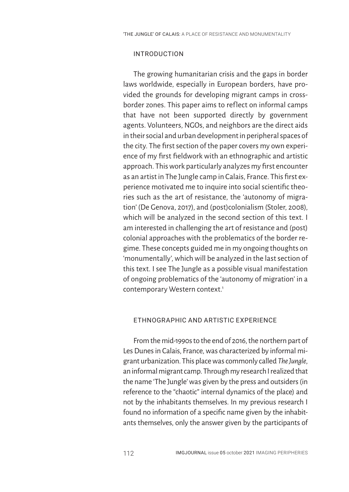### INTRODUCTION

The growing humanitarian crisis and the gaps in border laws worldwide, especially in European borders, have provided the grounds for developing migrant camps in crossborder zones. This paper aims to reflect on informal camps that have not been supported directly by government agents. Volunteers, NGOs, and neighbors are the direct aids in their social and urban development in peripheral spaces of the city. The first section of the paper covers my own experience of my first fieldwork with an ethnographic and artistic approach. This work particularly analyzes my first encounter as an artist in The Jungle camp in Calais, France. This first experience motivated me to inquire into social scientific theories such as the art of resistance, the 'autonomy of migration' (De Genova, 2017), and (post)colonialism (Stoler, 2008), which will be analyzed in the second section of this text. I am interested in challenging the art of resistance and (post) colonial approaches with the problematics of the border regime. These concepts guided me in my ongoing thoughts on 'monumentally', which will be analyzed in the last section of this text. I see The Jungle as a possible visual manifestation of ongoing problematics of the 'autonomy of migration' in a contemporary Western context.<sup>1</sup>

### ETHNOGRAPHIC AND ARTISTIC EXPERIENCE

From the mid-1990s to the end of 2016, the northern part of Les Dunes in Calais, France, was characterized by informal migrant urbanization. This place was commonly called *The Jungle*, an informal migrant camp. Through my research I realized that the name 'The Jungle' was given by the press and outsiders (in reference to the "chaotic" internal dynamics of the place) and not by the inhabitants themselves. In my previous research I found no information of a specific name given by the inhabitants themselves, only the answer given by the participants of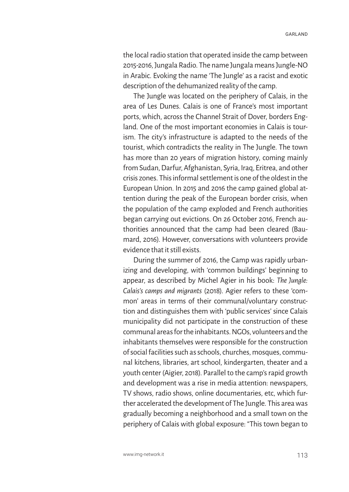the local radio station that operated inside the camp between 2015-2016, Jungala Radio. The name Jungala means Jungle-NO in Arabic. Evoking the name 'The Jungle' as a racist and exotic description of the dehumanized reality of the camp.

The Jungle was located on the periphery of Calais, in the area of Les Dunes. Calais is one of France's most important ports, which, across the Channel Strait of Dover, borders England. One of the most important economies in Calais is tourism. The city's infrastructure is adapted to the needs of the tourist, which contradicts the reality in The Jungle. The town has more than 20 years of migration history, coming mainly from Sudan, Darfur, Afghanistan, Syria, Iraq, Eritrea, and other crisis zones. This informal settlement is one of the oldest in the European Union. In 2015 and 2016 the camp gained global attention during the peak of the European border crisis, when the population of the camp exploded and French authorities began carrying out evictions. On 26 October 2016, French authorities announced that the camp had been cleared (Baumard, 2016). However, conversations with volunteers provide evidence that it still exists.

During the summer of 2016, the Camp was rapidly urbanizing and developing, with 'common buildings' beginning to appear, as described by Michel Agier in his book: *The Jungle: Calais's camps and migrants* (2018). Agier refers to these 'common' areas in terms of their communal/voluntary construction and distinguishes them with 'public services' since Calais municipality did not participate in the construction of these communal areas for the inhabitants. NGOs, volunteers and the inhabitants themselves were responsible for the construction of social facilities such as schools, churches, mosques, communal kitchens, libraries, art school, kindergarten, theater and a youth center (Aigier, 2018). Parallel to the camp's rapid growth and development was a rise in media attention: newspapers, TV shows, radio shows, online documentaries, etc, which further accelerated the development of The Jungle. This area was gradually becoming a neighborhood and a small town on the periphery of Calais with global exposure: "This town began to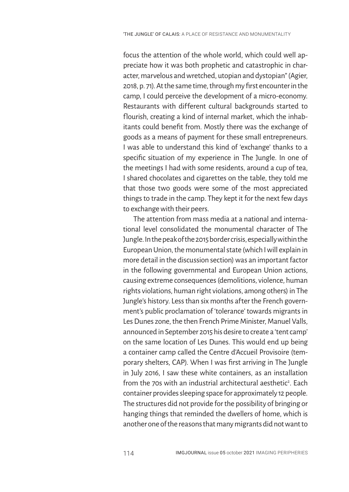focus the attention of the whole world, which could well appreciate how it was both prophetic and catastrophic in character, marvelous and wretched, utopian and dystopian" (Agier, 2018, p. 71). At the same time, through my first encounter in the camp, I could perceive the development of a micro-economy. Restaurants with different cultural backgrounds started to flourish, creating a kind of internal market, which the inhabitants could benefit from. Mostly there was the exchange of goods as a means of payment for these small entrepreneurs. I was able to understand this kind of 'exchange' thanks to a specific situation of my experience in The Jungle. In one of the meetings I had with some residents, around a cup of tea, I shared chocolates and cigarettes on the table, they told me that those two goods were some of the most appreciated things to trade in the camp. They kept it for the next few days to exchange with their peers.

The attention from mass media at a national and international level consolidated the monumental character of The Jungle. In the peak of the 2015 border crisis, especially within the European Union, the monumental state (which I will explain in more detail in the discussion section) was an important factor in the following governmental and European Union actions, causing extreme consequences (demolitions, violence, human rights violations, human right violations, among others) in The Jungle's history. Less than six months after the French government's public proclamation of 'tolerance' towards migrants in Les Dunes zone, the then French Prime Minister, Manuel Valls, announced in September 2015 his desire to create a 'tent camp' on the same location of Les Dunes. This would end up being a container camp called the Centre d'Accueil Provisoire (temporary shelters, CAP). When I was first arriving in The Jungle in July 2016, I saw these white containers, as an installation from the 70s with an industrial architectural aesthetic<sup>2</sup>. Each container provides sleeping space for approximately 12 people. The structures did not provide for the possibility of bringing or hanging things that reminded the dwellers of home, which is another one of the reasons that many migrants did not want to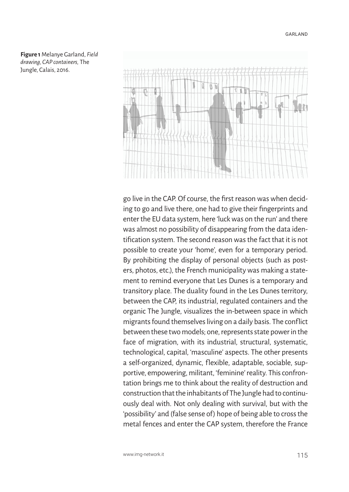**Figure 1** Melanye Garland, *Field drawing, CAP containers,* The Jungle, Calais, 2016.



go live in the CAP. Of course, the first reason was when deciding to go and live there, one had to give their fingerprints and enter the EU data system, here 'luck was on the run' and there was almost no possibility of disappearing from the data identification system. The second reason was the fact that it is not possible to create your 'home', even for a temporary period. By prohibiting the display of personal objects (such as posters, photos, etc.), the French municipality was making a statement to remind everyone that Les Dunes is a temporary and transitory place. The duality found in the Les Dunes territory, between the CAP, its industrial, regulated containers and the organic The Jungle, visualizes the in-between space in which migrants found themselves living on a daily basis. The conflict between these two models; one, represents state power in the face of migration, with its industrial, structural, systematic, technological, capital, 'masculine' aspects. The other presents a self-organized, dynamic, flexible, adaptable, sociable, supportive, empowering, militant, 'feminine' reality. This confrontation brings me to think about the reality of destruction and construction that the inhabitants of The Jungle had to continuously deal with. Not only dealing with survival, but with the 'possibility' and (false sense of) hope of being able to cross the metal fences and enter the CAP system, therefore the France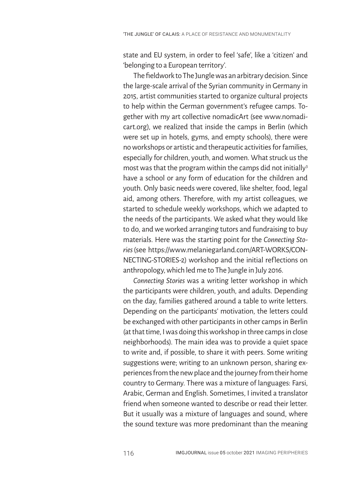state and EU system, in order to feel 'safe', like a 'citizen' and 'belonging to a European territory'.

The fieldwork to The Jungle was an arbitrary decision. Since the large-scale arrival of the Syrian community in Germany in 2015, artist communities started to organize cultural projects to help within the German government's refugee camps. Together with my art collective nomadicArt (see www.nomadicart.org), we realized that inside the camps in Berlin (which were set up in hotels, gyms, and empty schools), there were no workshops or artistic and therapeutic activities for families, especially for children, youth, and women. What struck us the most was that the program within the camps did not initially<sup>3</sup> have a school or any form of education for the children and youth. Only basic needs were covered, like shelter, food, legal aid, among others. Therefore, with my artist colleagues, we started to schedule weekly workshops, which we adapted to the needs of the participants. We asked what they would like to do, and we worked arranging tutors and fundraising to buy materials. Here was the starting point for the *Connecting Stories*(see https://www.melaniegarland.com/ART-WORKS/CON-NECTING-STORIES-2) workshop and the initial reflections on anthropology, which led me to The Jungle in July 2016.

*Connecting Stories* was a writing letter workshop in which the participants were children, youth, and adults. Depending on the day, families gathered around a table to write letters. Depending on the participants' motivation, the letters could be exchanged with other participants in other camps in Berlin (at that time, I was doing this workshop in three camps in close neighborhoods). The main idea was to provide a quiet space to write and, if possible, to share it with peers. Some writing suggestions were; writing to an unknown person, sharing experiences from the new place and the journey from their home country to Germany. There was a mixture of languages: Farsi, Arabic, German and English. Sometimes, I invited a translator friend when someone wanted to describe or read their letter. But it usually was a mixture of languages and sound, where the sound texture was more predominant than the meaning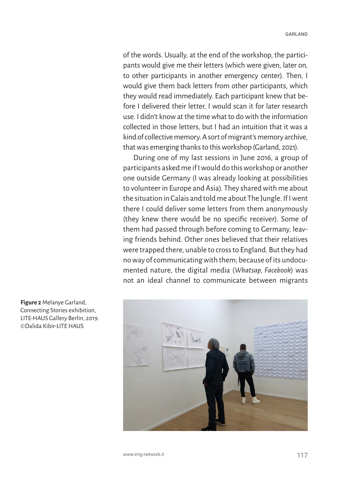of the words. Usually, at the end of the workshop, the participants would give me their letters (which were given, later on, to other participants in another emergency center). Then, I would give them back letters from other participants, which they would read immediately. Each participant knew that before I delivered their letter, I would scan it for later research use. I didn't know at the time what to do with the information collected in those letters, but I had an intuition that it was a kind of collective memory. A sort of migrant's memory archive, that was emerging thanks to this workshop (Garland, 2021).

During one of my last sessions in June 2016, a group of participants asked me if I would do this workshop or another one outside Germany (I was already looking at possibilities to volunteer in Europe and Asia). They shared with me about the situation in Calais and told me about The Jungle. If I went there I could deliver some letters from them anonymously (they knew there would be no specific receiver). Some of them had passed through before coming to Germany, leaving friends behind. Other ones believed that their relatives were trapped there, unable to cross to England. But they had no way of communicating with them; because of its undocumented nature, the digital media (*Whatsap, Facebook*) was not an ideal channel to communicate between migrants



**Figure 2** Melanye Garland, Connecting Stories exhibition, LITE-HAUS Gallery Berlin, 2019. ©Dalida Kibir-LITE HAUS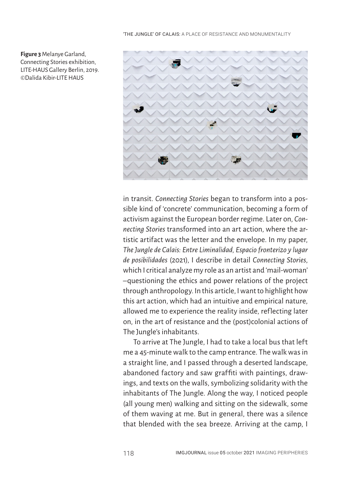

**Figure 3** Melanye Garland, Connecting Stories exhibition, LITE-HAUS Gallery Berlin, 2019. ©Dalida Kibir-LITE HAUS

> in transit. *Connecting Stories* began to transform into a possible kind of 'concrete' communication, becoming a form of activism against the European border regime. Later on, *Connecting Stories* transformed into an art action, where the artistic artifact was the letter and the envelope. In my paper, *The Jungle de Calais: Entre Liminalidad, Espacio fronterizo y lugar de posibilidades* (2021), I describe in detail *Connecting Stories*, which I critical analyze my role as an artist and 'mail-woman' –questioning the ethics and power relations of the project through anthropology. In this article, I want to highlight how this art action, which had an intuitive and empirical nature, allowed me to experience the reality inside, reflecting later on, in the art of resistance and the (post)colonial actions of The Jungle's inhabitants.

> To arrive at The Jungle, I had to take a local bus that left me a 45-minute walk to the camp entrance. The walk was in a straight line, and I passed through a deserted landscape, abandoned factory and saw graffiti with paintings, drawings, and texts on the walls, symbolizing solidarity with the inhabitants of The Jungle. Along the way, I noticed people (all young men) walking and sitting on the sidewalk, some of them waving at me. But in general, there was a silence that blended with the sea breeze. Arriving at the camp, I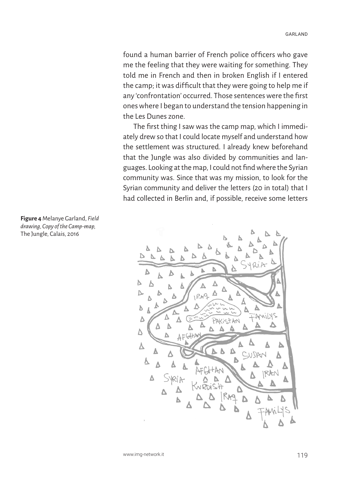found a human barrier of French police officers who gave me the feeling that they were waiting for something. They told me in French and then in broken English if I entered the camp; it was difficult that they were going to help me if any 'confrontation' occurred. Those sentences were the first ones where I began to understand the tension happening in the Les Dunes zone.

The first thing I saw was the camp map, which I immediately drew so that I could locate myself and understand how the settlement was structured. I already knew beforehand that the Jungle was also divided by communities and languages. Looking at the map, I could not find where the Syrian community was. Since that was my mission, to look for the Syrian community and deliver the letters (20 in total) that I had collected in Berlin and, if possible, receive some letters



**Figure 4** Melanye Garland, *Field drawing, Copy of the Camp-map,*  The Jungle, Calais, 2016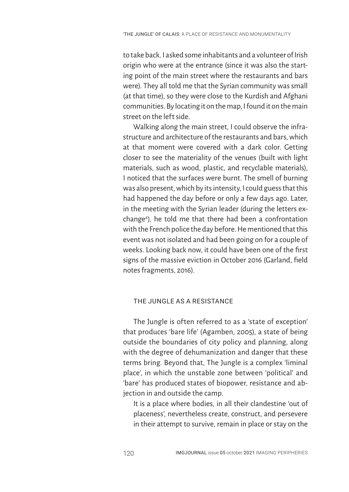to take back. I asked some inhabitants and a volunteer of Irish origin who were at the entrance (since it was also the starting point of the main street where the restaurants and bars were). They all told me that the Syrian community was small (at that time), so they were close to the Kurdish and Afghani communities. By locating it on the map, I found it on the main street on the left side.

Walking along the main street, I could observe the infrastructure and architecture of the restaurants and bars, which at that moment were covered with a dark color. Getting closer to see the materiality of the venues (built with light materials, such as wood, plastic, and recyclable materials), I noticed that the surfaces were burnt. The smell of burning was also present, which by its intensity, I could guess that this had happened the day before or only a few days ago. Later, in the meeting with the Syrian leader (during the letters exchange4 ), he told me that there had been a confrontation with the French police the day before. He mentioned that this event was not isolated and had been going on for a couple of weeks. Looking back now, it could have been one of the first signs of the massive eviction in October 2016 (Garland, field notes fragments, 2016).

# THE JUNGLE AS A RESISTANCE

The Jungle is often referred to as a 'state of exception' that produces 'bare life' (Agamben, 2005), a state of being outside the boundaries of city policy and planning, along with the degree of dehumanization and danger that these terms bring. Beyond that, The Jungle is a complex 'liminal place', in which the unstable zone between 'political' and 'bare' has produced states of biopower, resistance and abjection in and outside the camp.

It is a place where bodies, in all their clandestine 'out of placeness', nevertheless create, construct, and persevere in their attempt to survive, remain in place or stay on the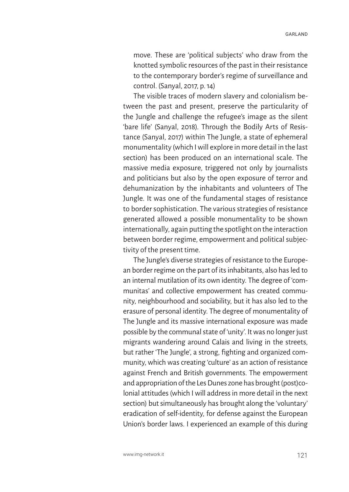GARLAND

move. These are 'political subjects' who draw from the knotted symbolic resources of the past in their resistance to the contemporary border's regime of surveillance and control. (Sanyal, 2017, p. 14)

The visible traces of modern slavery and colonialism between the past and present, preserve the particularity of the Jungle and challenge the refugee's image as the silent 'bare life' (Sanyal, 2018). Through the Bodily Arts of Resistance (Sanyal, 2017) within The Jungle, a state of ephemeral monumentality (which I will explore in more detail in the last section) has been produced on an international scale. The massive media exposure, triggered not only by journalists and politicians but also by the open exposure of terror and dehumanization by the inhabitants and volunteers of The Jungle. It was one of the fundamental stages of resistance to border sophistication. The various strategies of resistance generated allowed a possible monumentality to be shown internationally, again putting the spotlight on the interaction between border regime, empowerment and political subjectivity of the present time.

The Jungle's diverse strategies of resistance to the European border regime on the part of its inhabitants, also has led to an internal mutilation of its own identity. The degree of 'communitas' and collective empowerment has created community, neighbourhood and sociability, but it has also led to the erasure of personal identity. The degree of monumentality of The Jungle and its massive international exposure was made possible by the communal state of 'unity'. It was no longer just migrants wandering around Calais and living in the streets, but rather 'The Jungle', a strong, fighting and organized community, which was creating 'culture' as an action of resistance against French and British governments. The empowerment and appropriation of the Les Dunes zone has brought (post)colonial attitudes (which I will address in more detail in the next section) but simultaneously has brought along the 'voluntary' eradication of self-identity, for defense against the European Union's border laws. I experienced an example of this during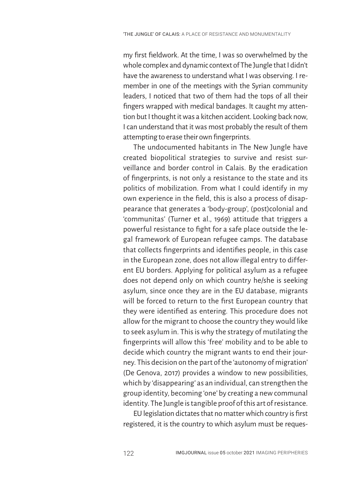my first fieldwork. At the time, I was so overwhelmed by the whole complex and dynamic context of The Jungle that I didn't have the awareness to understand what I was observing. I remember in one of the meetings with the Syrian community leaders, I noticed that two of them had the tops of all their fingers wrapped with medical bandages. It caught my attention but I thought it was a kitchen accident. Looking back now, I can understand that it was most probably the result of them attempting to erase their own fingerprints.

The undocumented habitants in The New Jungle have created biopolitical strategies to survive and resist surveillance and border control in Calais. By the eradication of fingerprints, is not only a resistance to the state and its politics of mobilization. From what I could identify in my own experience in the field, this is also a process of disappearance that generates a 'body-group', (post)colonial and 'communitas' (Turner et al., 1969) attitude that triggers a powerful resistance to fight for a safe place outside the legal framework of European refugee camps. The database that collects fingerprints and identifies people, in this case in the European zone, does not allow illegal entry to different EU borders. Applying for political asylum as a refugee does not depend only on which country he/she is seeking asylum, since once they are in the EU database, migrants will be forced to return to the first European country that they were identified as entering. This procedure does not allow for the migrant to choose the country they would like to seek asylum in. This is why the strategy of mutilating the fingerprints will allow this 'free' mobility and to be able to decide which country the migrant wants to end their journey. This decision on the part of the 'autonomy of migration' (De Genova, 2017) provides a window to new possibilities, which by 'disappearing' as an individual, can strengthen the group identity, becoming 'one' by creating a new communal identity. The Jungle is tangible proof of this art of resistance.

EU legislation dictates that no matter which country is first registered, it is the country to which asylum must be reques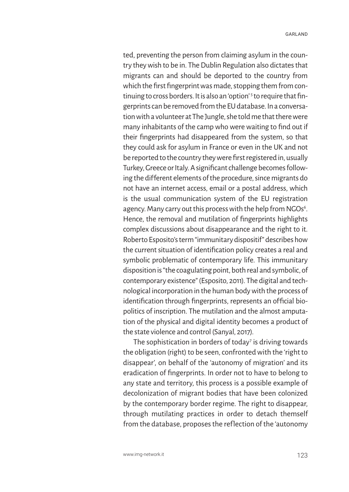ted, preventing the person from claiming asylum in the country they wish to be in. The Dublin Regulation also dictates that migrants can and should be deported to the country from which the first fingerprint was made, stopping them from continuing to cross borders. It is also an 'option'<sup>s</sup> to require that fingerprints can be removed from the EU database. In a conversation with a volunteer at The Jungle, she told me that there were many inhabitants of the camp who were waiting to find out if their fingerprints had disappeared from the system, so that they could ask for asylum in France or even in the UK and not be reported to the country they were first registered in, usually Turkey, Greece or Italy. A significant challenge becomes following the different elements of the procedure, since migrants do not have an internet access, email or a postal address, which is the usual communication system of the EU registration agency. Many carry out this process with the help from NGOs<sup>6</sup>. Hence, the removal and mutilation of fingerprints highlights complex discussions about disappearance and the right to it. Roberto Esposito's term "immunitary dispositif" describes how the current situation of identification policy creates a real and symbolic problematic of contemporary life. This immunitary disposition is "the coagulating point, both real and symbolic, of contemporary existence" (Esposito, 2011). The digital and technological incorporation in the human body with the process of identification through fingerprints, represents an official biopolitics of inscription. The mutilation and the almost amputation of the physical and digital identity becomes a product of the state violence and control (Sanyal, 2017).

The sophistication in borders of today<sup>7</sup> is driving towards the obligation (right) to be seen, confronted with the 'right to disappear', on behalf of the 'autonomy of migration' and its eradication of fingerprints. In order not to have to belong to any state and territory, this process is a possible example of decolonization of migrant bodies that have been colonized by the contemporary border regime. The right to disappear, through mutilating practices in order to detach themself from the database, proposes the reflection of the 'autonomy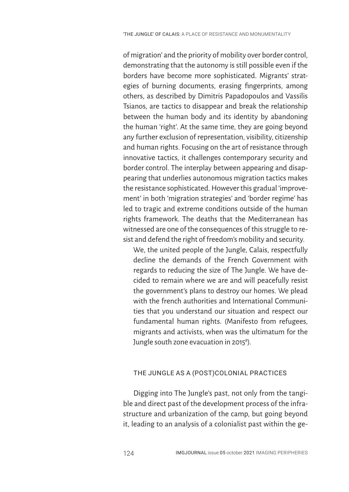of migration' and the priority of mobility over border control, demonstrating that the autonomy is still possible even if the borders have become more sophisticated. Migrants' strategies of burning documents, erasing fingerprints, among others, as described by Dimitris Papadopoulos and Vassilis Tsianos, are tactics to disappear and break the relationship between the human body and its identity by abandoning the human 'right'. At the same time, they are going beyond any further exclusion of representation, visibility, citizenship and human rights. Focusing on the art of resistance through innovative tactics, it challenges contemporary security and border control. The interplay between appearing and disappearing that underlies autonomous migration tactics makes the resistance sophisticated. However this gradual 'improvement' in both 'migration strategies' and 'border regime' has led to tragic and extreme conditions outside of the human rights framework. The deaths that the Mediterranean has witnessed are one of the consequences of this struggle to resist and defend the right of freedom's mobility and security.

We, the united people of the Jungle, Calais, respectfully decline the demands of the French Government with regards to reducing the size of The Jungle. We have decided to remain where we are and will peacefully resist the government's plans to destroy our homes. We plead with the french authorities and International Communities that you understand our situation and respect our fundamental human rights. (Manifesto from refugees, migrants and activists, when was the ultimatum for the Jungle south zone evacuation in 2015<sup>8</sup>).

# THE JUNGLE AS A (POST)COLONIAL PRACTICES

Digging into The Jungle's past, not only from the tangible and direct past of the development process of the infrastructure and urbanization of the camp, but going beyond it, leading to an analysis of a colonialist past within the ge-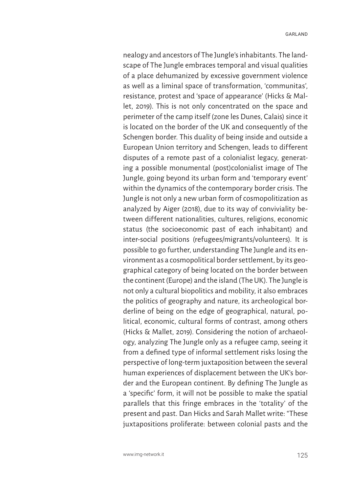nealogy and ancestors of The Jungle's inhabitants. The landscape of The Jungle embraces temporal and visual qualities of a place dehumanized by excessive government violence as well as a liminal space of transformation, 'communitas', resistance, protest and 'space of appearance' (Hicks & Mallet, 2019). This is not only concentrated on the space and perimeter of the camp itself (zone les Dunes, Calais) since it is located on the border of the UK and consequently of the Schengen border. This duality of being inside and outside a European Union territory and Schengen, leads to different disputes of a remote past of a colonialist legacy, generating a possible monumental (post)colonialist image of The Jungle, going beyond its urban form and 'temporary event' within the dynamics of the contemporary border crisis. The Jungle is not only a new urban form of cosmopolitization as analyzed by Aiger (2018), due to its way of conviviality between different nationalities, cultures, religions, economic status (the socioeconomic past of each inhabitant) and inter-social positions (refugees/migrants/volunteers). It is possible to go further, understanding The Jungle and its environment as a cosmopolitical border settlement, by its geographical category of being located on the border between the continent (Europe) and the island (The UK). The Jungle is not only a cultural biopolitics and mobility, it also embraces the politics of geography and nature, its archeological borderline of being on the edge of geographical, natural, political, economic, cultural forms of contrast, among others (Hicks & Mallet, 2019). Considering the notion of archaeology, analyzing The Jungle only as a refugee camp, seeing it from a defined type of informal settlement risks losing the perspective of long-term juxtaposition between the several human experiences of displacement between the UK's border and the European continent. By defining The Jungle as a 'specific' form, it will not be possible to make the spatial parallels that this fringe embraces in the 'totality' of the present and past. Dan Hicks and Sarah Mallet write: "These juxtapositions proliferate: between colonial pasts and the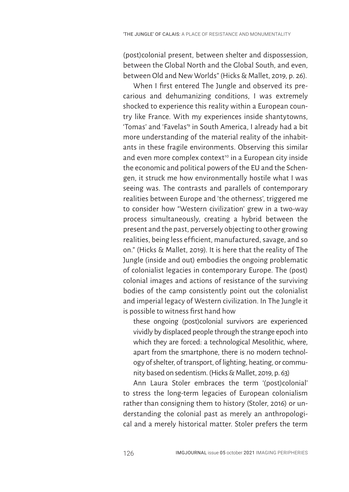(post)colonial present, between shelter and dispossession, between the Global North and the Global South, and even, between Old and New Worlds" (Hicks & Mallet, 2019, p. 26).

When I first entered The Jungle and observed its precarious and dehumanizing conditions, I was extremely shocked to experience this reality within a European country like France. With my experiences inside shantytowns, 'Tomas' and 'Favelas'9 in South America, I already had a bit more understanding of the material reality of the inhabitants in these fragile environments. Observing this similar and even more complex context<sup>10</sup> in a European city inside the economic and political powers of the EU and the Schengen, it struck me how environmentally hostile what I was seeing was. The contrasts and parallels of contemporary realities between Europe and 'the otherness', triggered me to consider how "Western civilization' grew in a two-way process simultaneously, creating a hybrid between the present and the past, perversely objecting to other growing realities, being less ef ficient, manufactured, savage, and so on." (Hicks & Mallet, 2019). It is here that the reality of The Jungle (inside and out) embodies the ongoing problematic of colonialist legacies in contemporary Europe. The (post) colonial images and actions of resistance of the surviving bodies of the camp consistently point out the colonialist and imperial legacy of Western civilization. In The Jungle it is possible to witness first hand how

these ongoing (post)colonial survivors are experienced vividly by displaced people through the strange epoch into which they are forced: a technological Mesolithic, where, apart from the smartphone, there is no modern technology of shelter, of transport, of lighting, heating, or community based on sedentism. (Hicks & Mallet, 2019, p. 63)

Ann Laura Stoler embraces the term '(post)colonial' to stress the long-term legacies of European colonialism rather than consigning them to history (Stoler, 2016) or understanding the colonial past as merely an anthropological and a merely historical matter. Stoler prefers the term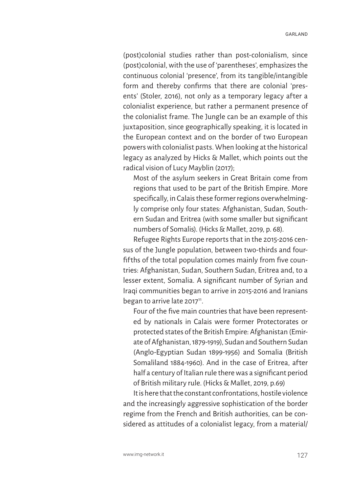(post)colonial studies rather than post-colonialism, since (post)colonial, with the use of 'parentheses', emphasizes the continuous colonial 'presence', from its tangible/intangible form and thereby confirms that there are colonial 'presents' (Stoler, 2016), not only as a temporary legacy after a colonialist experience, but rather a permanent presence of the colonialist frame. The Jungle can be an example of this juxtaposition, since geographically speaking, it is located in the European context and on the border of two European powers with colonialist pasts. When looking at the historical legacy as analyzed by Hicks & Mallet, which points out the radical vision of Lucy Mayblin (2017);

Most of the asylum seekers in Great Britain come from regions that used to be part of the British Empire. More specifically, in Calais these former regions overwhelmingly comprise only four states: Afghanistan, Sudan, Southern Sudan and Eritrea (with some smaller but significant numbers of Somalis). (Hicks & Mallet, 2019, p. 68).

Refugee Rights Europe reports that in the 2015-2016 census of the Jungle population, between two-thirds and fourfifths of the total population comes mainly from five countries: Afghanistan, Sudan, Southern Sudan, Eritrea and, to a lesser extent, Somalia. A significant number of Syrian and Iraqi communities began to arrive in 2015-2016 and Iranians began to arrive late  $2017$ <sup>11</sup>.

Four of the five main countries that have been represented by nationals in Calais were former Protectorates or protected states of the British Empire: Afghanistan (Emirate of Afghanistan, 1879-1919), Sudan and Southern Sudan (Anglo-Egyptian Sudan 1899-1956) and Somalia (British Somaliland 1884-1960). And in the case of Eritrea, after half a century of Italian rule there was a significant period of British military rule. (Hicks & Mallet, 2019, p.69)

It is here that the constant confrontations, hostile violence and the increasingly aggressive sophistication of the border regime from the French and British authorities, can be considered as attitudes of a colonialist legacy, from a material/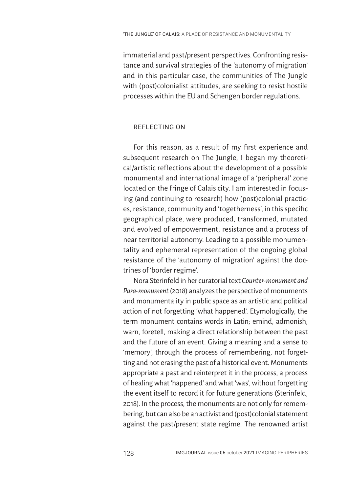immaterial and past/present perspectives. Confronting resistance and survival strategies of the *'*autonomy of migration' and in this particular case, the communities of The Jungle with (post)colonialist attitudes, are seeking to resist hostile processes within the EU and Schengen border regulations.

## REFLECTING ON

For this reason, as a result of my first experience and subsequent research on The Jungle, I began my theoretical/artistic reflections about the development of a possible monumental and international image of a 'peripheral' zone located on the fringe of Calais city. I am interested in focusing (and continuing to research) how (post)colonial practices, resistance, community and 'togetherness', in this specific geographical place, were produced, transformed, mutated and evolved of empowerment, resistance and a process of near territorial autonomy. Leading to a possible monumentality and ephemeral representation of the ongoing global resistance of the 'autonomy of migration' against the doctrines of 'border regime'.

Nora Sterinfeld in her curatorial text *Counter-monument and Para-monument* (2018) analyzes the perspective of monuments and monumentality in public space as an artistic and political action of not forgetting 'what happened'. Etymologically, the term monument contains words in Latin; emind, admonish, warn, foretell, making a direct relationship between the past and the future of an event. Giving a meaning and a sense to 'memory', through the process of remembering, not forgetting and not erasing the past of a historical event. Monuments appropriate a past and reinterpret it in the process, a process of healing what 'happened' and what 'was', without forgetting the event itself to record it for future generations (Sterinfeld, 2018). In the process, the monuments are not only for remembering, but can also be an activist and (post)colonial statement against the past/present state regime. The renowned artist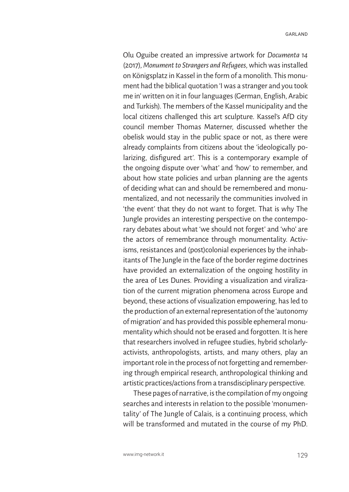Olu Oguibe created an impressive artwork for *Documenta 14*  (2017), *Monument to Strangers and Refugees*, which was installed on Königsplatz in Kassel in the form of a monolith. This monument had the biblical quotation 'I was a stranger and you took me in' written on it in four languages (German, English, Arabic and Turkish). The members of the Kassel municipality and the local citizens challenged this art sculpture. Kassel's AfD city council member Thomas Materner, discussed whether the obelisk would stay in the public space or not, as there were already complaints from citizens about the 'ideologically polarizing, disfigured art'. This is a contemporary example of the ongoing dispute over 'what' and 'how' to remember, and about how state policies and urban planning are the agents of deciding what can and should be remembered and monumentalized, and not necessarily the communities involved in 'the event' that they do not want to forget. That is why The Jungle provides an interesting perspective on the contemporary debates about what 'we should not forget' and 'who' are the actors of remembrance through monumentality. Activisms, resistances and (post)colonial experiences by the inhabitants of The Jungle in the face of the border regime doctrines have provided an externalization of the ongoing hostility in the area of Les Dunes. Providing a visualization and viralization of the current migration phenomena across Europe and beyond, these actions of visualization empowering, has led to the production of an external representation of the 'autonomy of migration' and has provided this possible ephemeral monumentality which should not be erased and forgotten. It is here that researchers involved in refugee studies, hybrid scholarlyactivists, anthropologists, artists, and many others, play an important role in the process of not forgetting and remembering through empirical research, anthropological thinking and artistic practices/actions from a transdisciplinary perspective.

These pages of narrative, is the compilation of my ongoing searches and interests in relation to the possible 'monumentality' of The Jungle of Calais, is a continuing process, which will be transformed and mutated in the course of my PhD.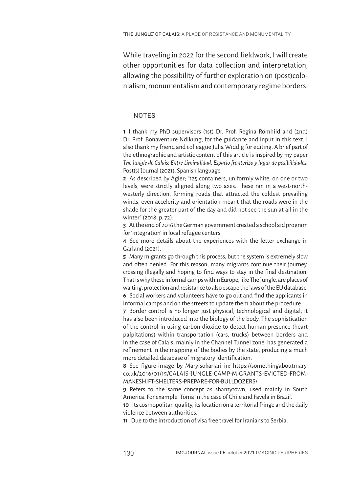While traveling in 2022 for the second fieldwork, I will create other opportunities for data collection and interpretation, allowing the possibility of further exploration on (post)colonialism, monumentalism and contemporary regime borders.

## **NOTES**

**1** I thank my PhD supervisors (1st) Dr. Prof. Regina Römhild and (2nd) Dr. Prof. Bonaventure Ndikung, for the guidance and input in this text. I also thank my friend and colleague Julia Widdig for editing. A brief part of the ethnographic and artistic content of this article is inspired by my paper *The Jungle de Calais: Entre Liminalidad, Espacio fronterizo y lugar de posibilidades.* Post(s) Journal (2021). Spanish language.

**2** As described by Agier; "125 containers, uniformly white, on one or two levels, were strictly aligned along two axes. These ran in a west-northwesterly direction, forming roads that attracted the coldest prevailing winds, even accelerity and orientation meant that the roads were in the shade for the greater part of the day and did not see the sun at all in the winter" (2018, p. 72).

**3** At the end of 2016 the German government created a school aid program for 'integration' in local refugee centers.

**4** See more details about the experiences with the letter exchange in Garland (2021).

**5** Many migrants go through this process, but the system is extremely slow and often denied. For this reason, many migrants continue their journey, crossing illegally and hoping to find ways to stay in the final destination. That is why these informal camps within Europe, like The Jungle, are places of waiting, protection and resistance to also escape the laws of the EU database.

**6** Social workers and volunteers have to go out and find the applicants in informal camps and on the streets to update them about the procedure.

**7** Border control is no longer just physical, technological and digital; it has also been introduced into the biology of the body. The sophistication of the control in using carbon dioxide to detect human presence (heart palpitations) within transportation (cars, trucks) between borders and in the case of Calais, mainly in the Channel Tunnel zone, has generated a refinement in the mapping of the bodies by the state, producing a much more detailed database of migratory identification.

**8** See figure-image by Maryisokariari in: https://somethingaboutmary. co.uk/2016/01/15/CALAIS-JUNGLE-CAMP-MIGRANTS-EVICTED-FROM-MAKESHIFT-SHELTERS-PREPARE-FOR-BULLDOZERS/

**9** Refers to the same concept as shantytown, used mainly in South America. For example: Toma in the case of Chile and Favela in Brazil.

**10** Its cosmopolitan quality, its location on a territorial fringe and the daily violence between authorities.

**11** Due to the introduction of visa free travel for Iranians to Serbia.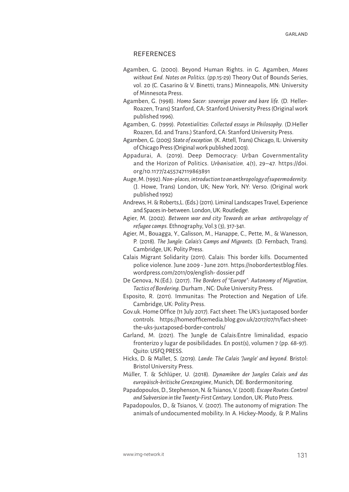### **REFERENCES**

- Agamben, G. (2000). Beyond Human Rights. in G. Agamben, *Means without End. Notes on Politics.* (pp.15-29) Theory Out of Bounds Series, vol. 20 (C. Casarino & V. Binetti, trans.) Minneapolis, MN: University of Minnesota Press.
- Agamben, G. (1998). *Homo Sacer: sovereign power and bare life.* (D. Heller-Roazen, Trans) Stanford, CA: Stanford University Press (Original work published 1996).
- Agamben, G. (1999). *Potentialities: Collected essays in Philosophy.* (D.Heller Roazen, Ed. and Trans.) Stanford, CA: Stanford University Press.
- Agamben, G. (2005) *State of exception.* (K. Attell, Trans) Chicago, IL: University of Chicago Press (Original work published 2003).
- Appadurai, A. (2019). Deep Democracy: Urban Governmentality and the Horizon of Politics. *Urbanisation,* 4(1), 29–47. https://doi. org/10.1177/2455747119863891
- Auge, M. (1992). *Non- places, introduction to an anthropology of supermodernity.*  (J. Howe, Trans) London, UK; New York, NY: Verso. (Original work published 1992)
- Andrews, H. & Roberts,L. (Eds.) (2011). Liminal Landscapes Travel, Experience and Spaces in-between. London, UK: Routledge.
- Agier, M. (2002). *Between war and city Towards an urban anthropology of refugee camps.* Ethnography, Vol.3 (3), 317-341.
- Agier, M., Bouagga, Y., Galisson, M., Hanappe, C., Pette, M., & Wanesson, P. (2018). *The Jungle: Calais's Camps and Migrants.* (D. Fernbach, Trans). Cambridge, UK: Polity Press.
- Calais Migrant Solidarity (2011). Calais: This border kills. Documented police violence. June 2009 - June 2011. https://nobordertestblog.files. wordpress.com/2011/09/english- dossier.pdf
- De Genova, N.(Ed.). (2017). *The Borders of "Europe": Autonomy of Migration, Tactics of Bordering*. Durham , NC: Duke University Press.
- Esposito, R. (2011). Immunitas: The Protection and Negation of Life. Cambridge, UK: Polity Press.
- Gov.uk. Home Office (11 July 2017). Fact sheet: The UK's juxtaposed border controls. https://homeofficemedia.blog.gov.uk/2017/07/11/fact-sheetthe-uks-juxtaposed-border-controls/
- Garland, M. (2021). The Jungle de Calais:Entre liminalidad, espacio fronterizo y lugar de posibilidades. En post(s), volumen 7 (pp. 68-97). Quito: USFQ PRESS.
- Hicks, D. & Mallet, S. (2019). *Lande: The Calais 'Jungle' and beyond.* Bristol: Bristol University Press.
- Müller, T. & Schlüper, U. (2018). *Dynamiken der Jungles Calais und das europäisch-britische Grenzregime*, Munich, DE: Bordermonitoring.
- Papadopoulos, D., Stephenson, N. & Tsianos, V. (2008). *Escape Routes: Control and Subversion in the Twenty-First Century.* London, UK: Pluto Press.
- Papadopoulos, D., & Tsianos, V. (2007). The autonomy of migration: The animals of undocumented mobility. In A. Hickey-Moody, & P. Malins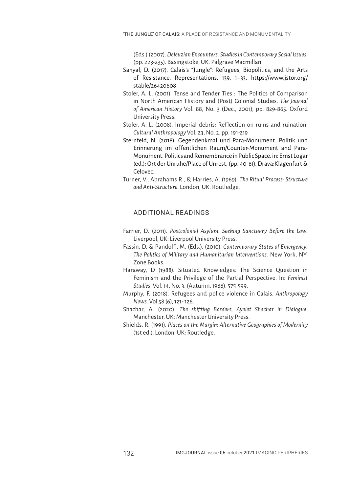(Eds.) (2007). *Deleuzian Encounters. Studies in Contemporary Social Issues.* (pp. 223-235). Basingstoke, UK: Palgrave Macmillan.

- Sanyal, D. (2017). Calais's "Jungle": Refugees, Biopolitics, and the Arts of Resistance. Representations, 139, 1–33. https://www.jstor.org/ stable/26420608
- Stoler, A. L. (2001). Tense and Tender Ties : The Politics of Comparison in North American History and (Post) Colonial Studies. *The Journal of American History* Vol. 88, No. 3 (Dec., 2001), pp. 829-865. Oxford University Press.
- Stoler, A. L. (2008). Imperial debris: Reflection on ruins and ruination. *Cultural Anthropology* Vol. 23, No. 2, pp. 191-219
- Sternfeld, N. (2018): Gegendenkmal und Para-Monument. Politik und Erinnerung im öffentlichen Raum/Counter-Monument and Para-Monument. Politics and Remembrance in Public Space. in: Ernst Logar (ed.): Ort der Unruhe/Place of Unrest. (pp. 40-61). Drava:Klagenfurt & Celovec.
- Turner, V., Abrahams R., & Harries, A. (1969). *The Ritual Process: Structure and Anti-Structure.* London, UK: Routledge.

# ADDITIONAL READINGS

- Farrier, D. (2011). *Postcolonial Asylum: Seeking Sanctuary Before the Law.*  Liverpool, UK: Liverpool University Press.
- Fassin, D. & Pandolfi, M. (Eds.). (2010). *Contemporary States of Emergency: The Politics of Military and Humanitarian Interventions.* New York, NY: Zone Books.
- Haraway, D (1988). Situated Knowledges: The Science Question in Feminism and the Privilege of the Partial Perspective. In: *Feminist Studies*, Vol. 14, No. 3. (Autumn, 1988), 575-599.
- Murphy, F. (2018). Refugees and police violence in Calais. *Anthropology News*. Vol 58 (6), 121- 126.
- Shachar, A. (2020). *The shifting Borders, Ayelet Shachar in Dialogue.* Manchester, UK: Manchester University Press.
- Shields, R. (1991). *Places on the Margin: Alternative Geographies of Modernity* (1st ed.). London, UK: Routledge.